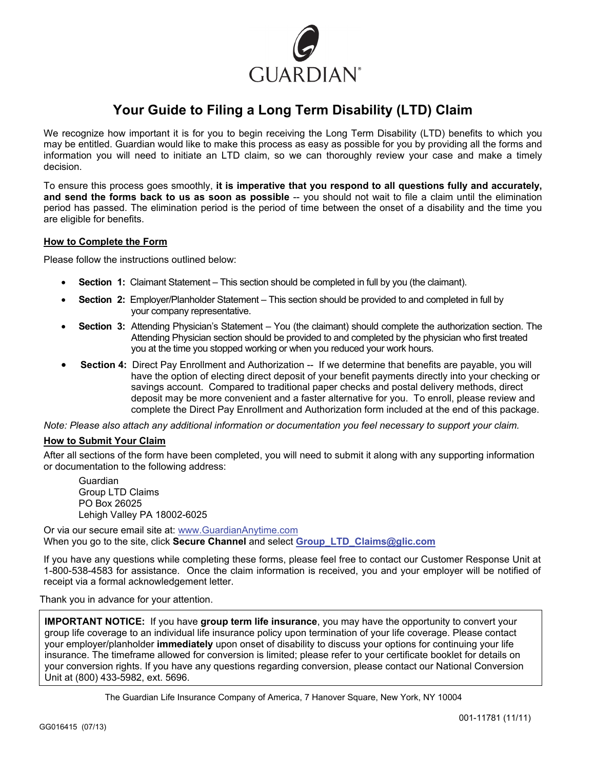

# **Your Guide to Filing a Long Term Disability (LTD) Claim**

We recognize how important it is for you to begin receiving the Long Term Disability (LTD) benefits to which you may be entitled. Guardian would like to make this process as easy as possible for you by providing all the forms and information you will need to initiate an LTD claim, so we can thoroughly review your case and make a timely decision.

To ensure this process goes smoothly, **it is imperative that you respond to all questions fully and accurately, and send the forms back to us as soon as possible** -- you should not wait to file a claim until the elimination period has passed. The elimination period is the period of time between the onset of a disability and the time you are eligible for benefits.

## **How to Complete the Form**

Please follow the instructions outlined below:

- **Section 1:** Claimant Statement This section should be completed in full by you (the claimant).
- **Section 2:** Employer/Planholder Statement This section should be provided to and completed in full by your company representative.
- **Section 3:** Attending Physician's Statement You (the claimant) should complete the authorization section. The Attending Physician section should be provided to and completed by the physician who first treated you at the time you stopped working or when you reduced your work hours.
- **Section 4:** Direct Pay Enrollment and Authorization -- If we determine that benefits are payable, you will have the option of electing direct deposit of your benefit payments directly into your checking or savings account. Compared to traditional paper checks and postal delivery methods, direct deposit may be more convenient and a faster alternative for you. To enroll, please review and complete the Direct Pay Enrollment and Authorization form included at the end of this package.

*Note: Please also attach any additional information or documentation you feel necessary to support your claim.* 

## **How to Submit Your Claim**

After all sections of the form have been completed, you will need to submit it along with any supporting information or documentation to the following address:

 Guardian Group LTD Claims PO Box 26025 Lehigh Valley PA 18002-6025

Or via our secure email site at: www.GuardianAnytime.com When you go to the site, click **Secure Channel** and select **Group\_LTD\_Claims@glic.com**

If you have any questions while completing these forms, please feel free to contact our Customer Response Unit at 1-800-538-4583 for assistance. Once the claim information is received, you and your employer will be notified of receipt via a formal acknowledgement letter.

Thank you in advance for your attention.

**IMPORTANT NOTICE:** If you have **group term life insurance**, you may have the opportunity to convert your group life coverage to an individual life insurance policy upon termination of your life coverage. Please contact your employer/planholder **immediately** upon onset of disability to discuss your options for continuing your life insurance. The timeframe allowed for conversion is limited; please refer to your certificate booklet for details on your conversion rights. If you have any questions regarding conversion, please contact our National Conversion Unit at (800) 433-5982, ext. 5696.

The Guardian Life Insurance Company of America, 7 Hanover Square, New York, NY 10004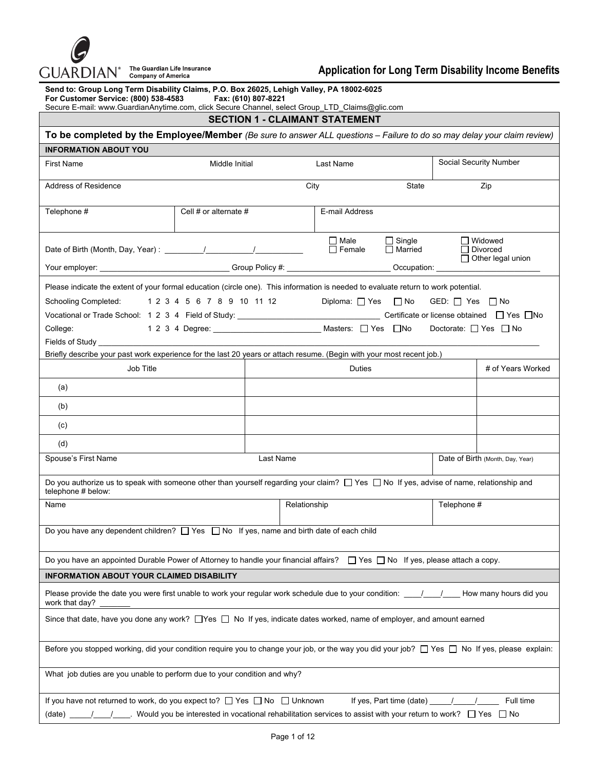

| Send to: Group Long Term Disability Claims, P.O. Box 26025, Lehigh Valley, PA 18002-6025<br>For Customer Service: (800) 538-4583<br>Fax: (610) 807-8221<br>Secure E-mail: www.GuardianAnytime.com, click Secure Channel, select Group_LTD_Claims@glic.com                                                             |                                                                                                                        |              |                |        |               |             |                                  |
|-----------------------------------------------------------------------------------------------------------------------------------------------------------------------------------------------------------------------------------------------------------------------------------------------------------------------|------------------------------------------------------------------------------------------------------------------------|--------------|----------------|--------|---------------|-------------|----------------------------------|
| <b>SECTION 1 - CLAIMANT STATEMENT</b>                                                                                                                                                                                                                                                                                 |                                                                                                                        |              |                |        |               |             |                                  |
| To be completed by the Employee/Member (Be sure to answer ALL questions - Failure to do so may delay your claim review)                                                                                                                                                                                               |                                                                                                                        |              |                |        |               |             |                                  |
| <b>INFORMATION ABOUT YOU</b>                                                                                                                                                                                                                                                                                          |                                                                                                                        |              |                |        |               |             |                                  |
| <b>First Name</b>                                                                                                                                                                                                                                                                                                     | Middle Initial                                                                                                         |              | Last Name      |        |               |             | Social Security Number           |
| Address of Residence                                                                                                                                                                                                                                                                                                  |                                                                                                                        |              | City           |        | State         |             | Zip                              |
| Telephone #                                                                                                                                                                                                                                                                                                           | Cell # or alternate $#$                                                                                                |              | E-mail Address |        |               |             |                                  |
| Your employer: ________________________________Group Policy #: _________________                                                                                                                                                                                                                                      | □ Widowed<br>□ Male<br>$\Box$ Single<br>$\Box$ Female<br>$\Box$ Married<br>$\Box$ Divorced<br>$\Box$ Other legal union |              |                |        |               |             |                                  |
|                                                                                                                                                                                                                                                                                                                       |                                                                                                                        |              |                |        | Occupation: _ |             |                                  |
| Please indicate the extent of your formal education (circle one). This information is needed to evaluate return to work potential.<br>Diploma: $\Box$ Yes $\Box$ No<br>Schooling Completed: 1 2 3 4 5 6 7 8 9 10 11 12<br>GED: $\Box$ Yes $\Box$ No<br>College:<br>Doctorate: $\Box$ Yes $\Box$ No<br>Fields of Study |                                                                                                                        |              |                |        |               |             |                                  |
| Briefly describe your past work experience for the last 20 years or attach resume. (Begin with your most recent job.)                                                                                                                                                                                                 |                                                                                                                        |              |                |        |               |             |                                  |
| Job Title                                                                                                                                                                                                                                                                                                             |                                                                                                                        |              |                | Duties |               |             | # of Years Worked                |
| (a)                                                                                                                                                                                                                                                                                                                   |                                                                                                                        |              |                |        |               |             |                                  |
| (b)                                                                                                                                                                                                                                                                                                                   |                                                                                                                        |              |                |        |               |             |                                  |
| (c)                                                                                                                                                                                                                                                                                                                   |                                                                                                                        |              |                |        |               |             |                                  |
| (d)                                                                                                                                                                                                                                                                                                                   |                                                                                                                        |              |                |        |               |             |                                  |
| Spouse's First Name                                                                                                                                                                                                                                                                                                   |                                                                                                                        | Last Name    |                |        |               |             | Date of Birth (Month, Day, Year) |
| Do you authorize us to speak with someone other than yourself regarding your claim? $\Box$ Yes $\Box$ No If yes, advise of name, relationship and<br>telephone # below:                                                                                                                                               |                                                                                                                        |              |                |        |               |             |                                  |
| Name                                                                                                                                                                                                                                                                                                                  |                                                                                                                        | Relationship |                |        |               | Telephone # |                                  |
| Do you have any dependent children? $\Box$ Yes $\Box$ No If yes, name and birth date of each child                                                                                                                                                                                                                    |                                                                                                                        |              |                |        |               |             |                                  |
| Do you have an appointed Durable Power of Attorney to handle your financial affairs? $\Box$ Yes $\Box$ No If yes, please attach a copy.                                                                                                                                                                               |                                                                                                                        |              |                |        |               |             |                                  |
| <b>INFORMATION ABOUT YOUR CLAIMED DISABILITY</b>                                                                                                                                                                                                                                                                      |                                                                                                                        |              |                |        |               |             |                                  |
| work that day?                                                                                                                                                                                                                                                                                                        |                                                                                                                        |              |                |        |               |             |                                  |
| Since that date, have you done any work? □ Yes □ No If yes, indicate dates worked, name of employer, and amount earned                                                                                                                                                                                                |                                                                                                                        |              |                |        |               |             |                                  |
| Before you stopped working, did your condition require you to change your job, or the way you did your job? □ Yes □ No If yes, please explain:                                                                                                                                                                        |                                                                                                                        |              |                |        |               |             |                                  |
| What job duties are you unable to perform due to your condition and why?                                                                                                                                                                                                                                              |                                                                                                                        |              |                |        |               |             |                                  |
| If you have not returned to work, do you expect to? □ Yes □ No □ Unknown<br>Full time<br>If yes, Part time (date) _<br>Would you be interested in vocational rehabilitation services to assist with your return to work? $\Box$ Yes $\Box$ No<br>(date)                                                               |                                                                                                                        |              |                |        |               |             |                                  |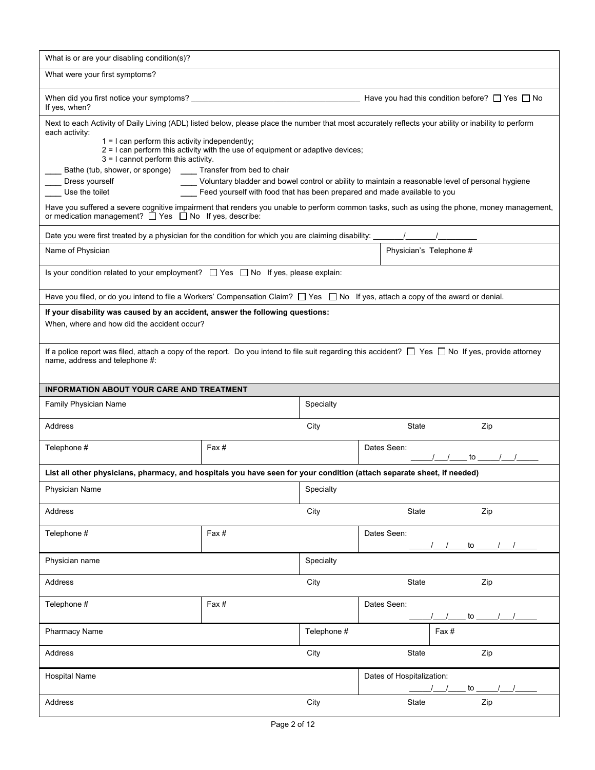| What is or are your disabling condition(s)?                                                                                                                                                    |                                                                                                                                                      |             |                                                                                                                                             |  |  |  |
|------------------------------------------------------------------------------------------------------------------------------------------------------------------------------------------------|------------------------------------------------------------------------------------------------------------------------------------------------------|-------------|---------------------------------------------------------------------------------------------------------------------------------------------|--|--|--|
| What were your first symptoms?                                                                                                                                                                 |                                                                                                                                                      |             |                                                                                                                                             |  |  |  |
| Have you had this condition before? $\Box$ Yes $\Box$ No<br>If yes, when?                                                                                                                      |                                                                                                                                                      |             |                                                                                                                                             |  |  |  |
| each activity:                                                                                                                                                                                 | Next to each Activity of Daily Living (ADL) listed below, please place the number that most accurately reflects your ability or inability to perform |             |                                                                                                                                             |  |  |  |
| $1 = 1$ can perform this activity independently;<br>$2 = 1$ can perform this activity with the use of equipment or adaptive devices;<br>$3 = 1$ cannot perform this activity.                  |                                                                                                                                                      |             |                                                                                                                                             |  |  |  |
| Bathe (tub, shower, or sponge)                                                                                                                                                                 | Transfer from bed to chair                                                                                                                           |             |                                                                                                                                             |  |  |  |
| Dress yourself<br>Use the toilet                                                                                                                                                               | Feed yourself with food that has been prepared and made available to you                                                                             |             | Voluntary bladder and bowel control or ability to maintain a reasonable level of personal hygiene                                           |  |  |  |
| or medication management? $\Box$ Yes $\Box$ No If yes, describe:                                                                                                                               |                                                                                                                                                      |             | Have you suffered a severe cognitive impairment that renders you unable to perform common tasks, such as using the phone, money management, |  |  |  |
|                                                                                                                                                                                                |                                                                                                                                                      |             |                                                                                                                                             |  |  |  |
| Name of Physician                                                                                                                                                                              |                                                                                                                                                      |             | Physician's Telephone #                                                                                                                     |  |  |  |
| Is your condition related to your employment? $\Box$ Yes $\Box$ No If yes, please explain:                                                                                                     |                                                                                                                                                      |             |                                                                                                                                             |  |  |  |
| Have you filed, or do you intend to file a Workers' Compensation Claim? $\Box$ Yes $\Box$ No If yes, attach a copy of the award or denial.                                                     |                                                                                                                                                      |             |                                                                                                                                             |  |  |  |
| If your disability was caused by an accident, answer the following questions:                                                                                                                  |                                                                                                                                                      |             |                                                                                                                                             |  |  |  |
| When, where and how did the accident occur?                                                                                                                                                    |                                                                                                                                                      |             |                                                                                                                                             |  |  |  |
| If a police report was filed, attach a copy of the report. Do you intend to file suit regarding this accident? $\Box$ Yes $\Box$ No If yes, provide attorney<br>name, address and telephone #: |                                                                                                                                                      |             |                                                                                                                                             |  |  |  |
| <b>INFORMATION ABOUT YOUR CARE AND TREATMENT</b>                                                                                                                                               |                                                                                                                                                      |             |                                                                                                                                             |  |  |  |
| Family Physician Name                                                                                                                                                                          |                                                                                                                                                      | Specialty   |                                                                                                                                             |  |  |  |
| Address                                                                                                                                                                                        |                                                                                                                                                      | City        | State<br>Zip                                                                                                                                |  |  |  |
| Telephone #                                                                                                                                                                                    | Fax #                                                                                                                                                |             | Dates Seen:                                                                                                                                 |  |  |  |
| List all other physicians, pharmacy, and hospitals you have seen for your condition (attach separate sheet, if needed)                                                                         |                                                                                                                                                      |             |                                                                                                                                             |  |  |  |
| Physician Name                                                                                                                                                                                 |                                                                                                                                                      | Specialty   |                                                                                                                                             |  |  |  |
| Address                                                                                                                                                                                        |                                                                                                                                                      | City        | Zip<br>State                                                                                                                                |  |  |  |
| Telephone #                                                                                                                                                                                    | Fax#                                                                                                                                                 |             | Dates Seen:<br>$\mathsf{to}$                                                                                                                |  |  |  |
| Specialty<br>Physician name                                                                                                                                                                    |                                                                                                                                                      |             |                                                                                                                                             |  |  |  |
| Address<br>City                                                                                                                                                                                |                                                                                                                                                      |             | State<br>Zip                                                                                                                                |  |  |  |
| Telephone #                                                                                                                                                                                    | Fax#                                                                                                                                                 |             | Dates Seen:<br>to $\overline{\phantom{a}}$                                                                                                  |  |  |  |
| Pharmacy Name                                                                                                                                                                                  |                                                                                                                                                      | Telephone # | Fax #                                                                                                                                       |  |  |  |
| Address                                                                                                                                                                                        |                                                                                                                                                      | City        | State<br>Zip                                                                                                                                |  |  |  |
| <b>Hospital Name</b>                                                                                                                                                                           |                                                                                                                                                      |             | Dates of Hospitalization:<br>to $\overline{\phantom{0}}$                                                                                    |  |  |  |
| Address                                                                                                                                                                                        |                                                                                                                                                      | City        | State<br>Zip                                                                                                                                |  |  |  |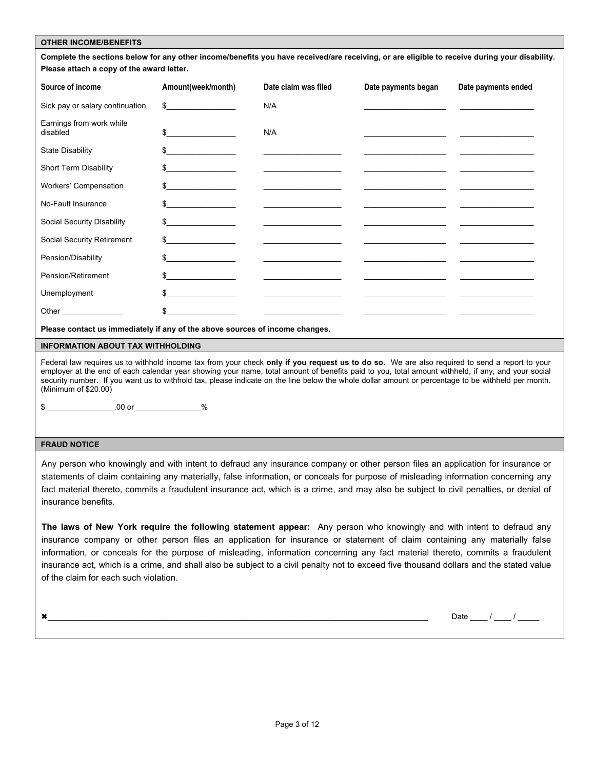#### **OTHER INCOME/BENEFITS**

**Complete the sections below for any other income/benefits you have received/are receiving, or are eligible to receive during your disability. Please attach a copy of the award letter.** 

| Source of income                     | Amount(week/month)                      | Date claim was filed                                                                                                                                                                                                                 | Date payments began                                                                                                                                                                                                                  | Date payments ended |
|--------------------------------------|-----------------------------------------|--------------------------------------------------------------------------------------------------------------------------------------------------------------------------------------------------------------------------------------|--------------------------------------------------------------------------------------------------------------------------------------------------------------------------------------------------------------------------------------|---------------------|
| Sick pay or salary continuation      | $\frac{1}{2}$                           | N/A                                                                                                                                                                                                                                  |                                                                                                                                                                                                                                      |                     |
| Earnings from work while<br>disabled | $\frac{1}{2}$                           | N/A                                                                                                                                                                                                                                  |                                                                                                                                                                                                                                      |                     |
| <b>State Disability</b>              | $\frac{1}{2}$                           |                                                                                                                                                                                                                                      |                                                                                                                                                                                                                                      |                     |
| <b>Short Term Disability</b>         | $\frac{1}{2}$                           |                                                                                                                                                                                                                                      |                                                                                                                                                                                                                                      |                     |
| Workers' Compensation                | $\frac{1}{2}$                           | <u> The Common State of the Common State of the Common State of the Common State of the Common State of the Common State of the Common State of the Common State of the Common State of the Common State of the Common State of </u> |                                                                                                                                                                                                                                      |                     |
| No-Fault Insurance                   | $\frac{1}{2}$                           | <u> 2000 - John Stein, Amerikaansk politiker (</u>                                                                                                                                                                                   |                                                                                                                                                                                                                                      |                     |
| Social Security Disability           | $\frac{1}{2}$                           | <u> 1989 - John Harry Harry Harry Harry Harry Harry Harry Harry Harry Harry Harry Harry Harry Harry Harry Harry Harry Harry Harry Harry Harry Harry Harry Harry Harry Harry Harry Harry Harry Harry Harry Harry Harry Harry Harr</u> |                                                                                                                                                                                                                                      |                     |
| Social Security Retirement           | $\frac{1}{2}$                           | <u> 1989 - Johann John Barn, markin amerikan bestema (</u>                                                                                                                                                                           | <u>The contract of the contract of the contract of the contract of the contract of the contract of the contract of the contract of the contract of the contract of the contract of the contract of the contract of the contract </u> |                     |
| Pension/Disability                   | $\frac{1}{2}$                           | <u> 1989 - Johann John Harry Harry Harry Harry Harry Harry Harry Harry Harry Harry Harry Harry Harry Harry Harry Harry Harry Harry Harry Harry Harry Harry Harry Harry Harry Harry Harry Harry Harry Harry Harry Harry Harry Har</u> |                                                                                                                                                                                                                                      |                     |
| Pension/Retirement                   | $\frac{1}{2}$                           |                                                                                                                                                                                                                                      | <u> 2000 - John Stone, Amerikaansk politiker (</u>                                                                                                                                                                                   |                     |
| Unemployment                         | \$<br>the control of the control of the |                                                                                                                                                                                                                                      |                                                                                                                                                                                                                                      |                     |
|                                      |                                         |                                                                                                                                                                                                                                      |                                                                                                                                                                                                                                      |                     |

**Please contact us immediately if any of the above sources of income changes.** 

#### **INFORMATION ABOUT TAX WITHHOLDING**

Federal law requires us to withhold income tax from your check **only if you request us to do so.** We are also required to send a report to your employer at the end of each calendar year showing your name, total amount of benefits paid to you, total amount withheld, if any, and your social security number. If you want us to withhold tax, please indicate on the line below the whole dollar amount or percentage to be withheld per month. (Minimum of \$20.00)

\$\_\_\_\_\_\_\_\_\_\_\_\_\_\_\_\_.00 or \_\_\_\_\_\_\_\_\_\_\_\_\_\_\_%

#### **FRAUD NOTICE**

Any person who knowingly and with intent to defraud any insurance company or other person files an application for insurance or statements of claim containing any materially, false information, or conceals for purpose of misleading information concerning any fact material thereto, commits a fraudulent insurance act, which is a crime, and may also be subject to civil penalties, or denial of insurance benefits.

**The laws of New York require the following statement appear:** Any person who knowingly and with intent to defraud any insurance company or other person files an application for insurance or statement of claim containing any materially false information, or conceals for the purpose of misleading, information concerning any fact material thereto, commits a fraudulent insurance act, which is a crime, and shall also be subject to a civil penalty not to exceed five thousand dollars and the stated value of the claim for each such violation.

\_\_\_\_\_\_\_\_\_\_\_\_\_\_\_\_\_\_\_\_\_\_\_\_\_\_\_\_\_\_\_\_\_\_\_\_\_\_\_\_\_\_\_\_\_\_\_\_\_\_\_\_\_\_\_\_\_\_\_\_\_\_\_\_\_\_\_\_\_\_\_\_\_\_\_\_\_\_\_\_\_\_\_\_\_\_\_\_ Date \_\_\_\_ / \_\_\_\_ / \_\_\_\_\_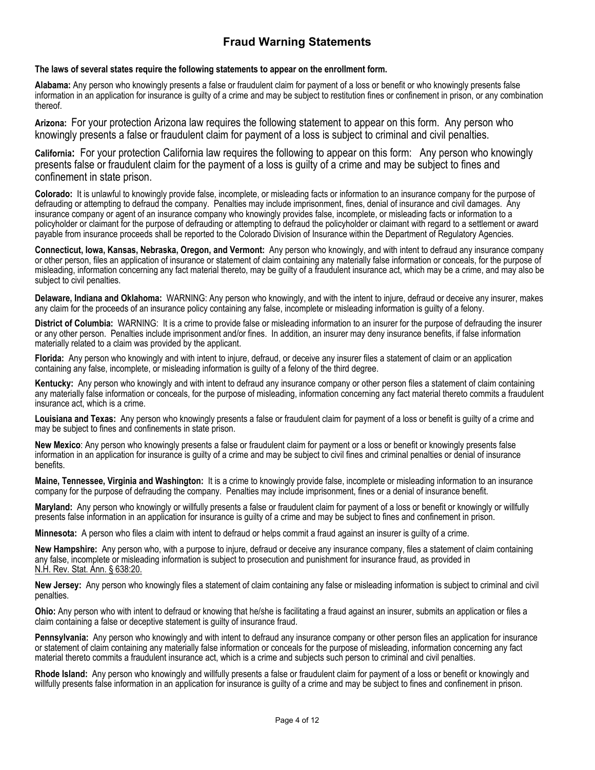# **Fraud Warning Statements**

**The laws of several states require the following statements to appear on the enrollment form.** 

**Alabama:** Any person who knowingly presents a false or fraudulent claim for payment of a loss or benefit or who knowingly presents false information in an application for insurance is guilty of a crime and may be subject to restitution fines or confinement in prison, or any combination thereof.

**Arizona:** For your protection Arizona law requires the following statement to appear on this form. Any person who knowingly presents a false or fraudulent claim for payment of a loss is subject to criminal and civil penalties.

**California:** For your protection California law requires the following to appear on this form: Any person who knowingly presents false or fraudulent claim for the payment of a loss is guilty of a crime and may be subject to fines and confinement in state prison.

**Colorado:** It is unlawful to knowingly provide false, incomplete, or misleading facts or information to an insurance company for the purpose of defrauding or attempting to defraud the company. Penalties may include imprisonment, fines, denial of insurance and civil damages. Any insurance company or agent of an insurance company who knowingly provides false, incomplete, or misleading facts or information to a policyholder or claimant for the purpose of defrauding or attempting to defraud the policyholder or claimant with regard to a settlement or award payable from insurance proceeds shall be reported to the Colorado Division of Insurance within the Department of Regulatory Agencies.

**Connecticut, Iowa, Kansas, Nebraska, Oregon, and Vermont:** Any person who knowingly, and with intent to defraud any insurance company or other person, files an application of insurance or statement of claim containing any materially false information or conceals, for the purpose of misleading, information concerning any fact material thereto, may be guilty of a fraudulent insurance act, which may be a crime, and may also be subject to civil penalties.

**Delaware, Indiana and Oklahoma:** WARNING: Any person who knowingly, and with the intent to injure, defraud or deceive any insurer, makes any claim for the proceeds of an insurance policy containing any false, incomplete or misleading information is guilty of a felony.

**District of Columbia:** WARNING: It is a crime to provide false or misleading information to an insurer for the purpose of defrauding the insurer or any other person. Penalties include imprisonment and/or fines. In addition, an insurer may deny insurance benefits, if false information materially related to a claim was provided by the applicant.

**Florida:** Any person who knowingly and with intent to injure, defraud, or deceive any insurer files a statement of claim or an application containing any false, incomplete, or misleading information is guilty of a felony of the third degree.

**Kentucky:** Any person who knowingly and with intent to defraud any insurance company or other person files a statement of claim containing any materially false information or conceals, for the purpose of misleading, information concerning any fact material thereto commits a fraudulent insurance act, which is a crime.

**Louisiana and Texas:** Any person who knowingly presents a false or fraudulent claim for payment of a loss or benefit is guilty of a crime and may be subject to fines and confinements in state prison.

**New Mexico**: Any person who knowingly presents a false or fraudulent claim for payment or a loss or benefit or knowingly presents false information in an application for insurance is guilty of a crime and may be subject to civil fines and criminal penalties or denial of insurance benefits.

**Maine, Tennessee, Virginia and Washington:** It is a crime to knowingly provide false, incomplete or misleading information to an insurance company for the purpose of defrauding the company. Penalties may include imprisonment, fines or a denial of insurance benefit.

**Maryland:** Any person who knowingly or willfully presents a false or fraudulent claim for payment of a loss or benefit or knowingly or willfully presents false information in an application for insurance is guilty of a crime and may be subject to fines and confinement in prison.

**Minnesota:** A person who files a claim with intent to defraud or helps commit a fraud against an insurer is guilty of a crime.

**New Hampshire:** Any person who, with a purpose to injure, defraud or deceive any insurance company, files a statement of claim containing any false, incomplete or misleading information is subject to prosecution and punishment for insurance fraud, as provided in N.H. Rev. Stat. Ann. § 638:20.

**New Jersey:** Any person who knowingly files a statement of claim containing any false or misleading information is subject to criminal and civil penalties.

**Ohio:** Any person who with intent to defraud or knowing that he/she is facilitating a fraud against an insurer, submits an application or files a claim containing a false or deceptive statement is guilty of insurance fraud.

**Pennsylvania:** Any person who knowingly and with intent to defraud any insurance company or other person files an application for insurance or statement of claim containing any materially false information or conceals for the purpose of misleading, information concerning any fact material thereto commits a fraudulent insurance act, which is a crime and subjects such person to criminal and civil penalties.

**Rhode Island:** Any person who knowingly and willfully presents a false or fraudulent claim for payment of a loss or benefit or knowingly and willfully presents false information in an application for insurance is guilty of a crime and may be subject to fines and confinement in prison.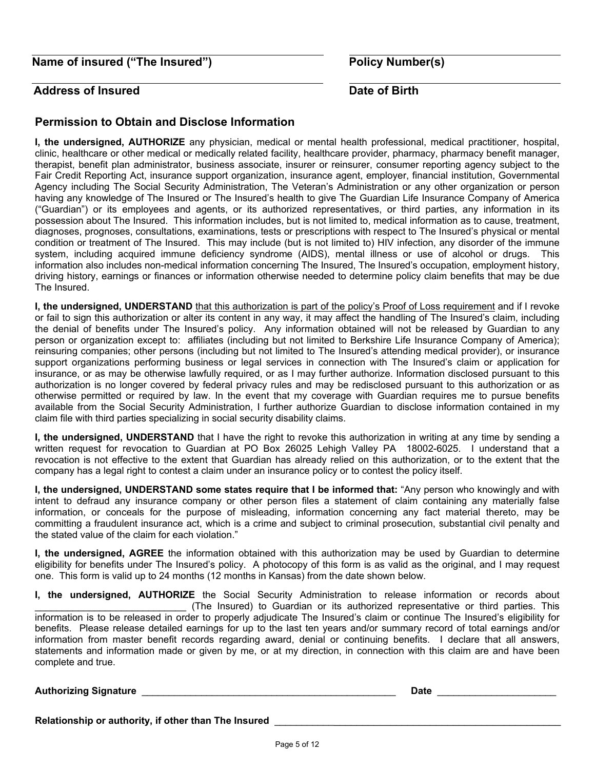**Name of insured ("The Insured")** Policy Number(s)

## **Address of Insured Care Contract Contract Address of Birth**

## **Permission to Obtain and Disclose Information**

**I, the undersigned, AUTHORIZE** any physician, medical or mental health professional, medical practitioner, hospital, clinic, healthcare or other medical or medically related facility, healthcare provider, pharmacy, pharmacy benefit manager, therapist, benefit plan administrator, business associate, insurer or reinsurer, consumer reporting agency subject to the Fair Credit Reporting Act, insurance support organization, insurance agent, employer, financial institution, Governmental Agency including The Social Security Administration, The Veteran's Administration or any other organization or person having any knowledge of The Insured or The Insured's health to give The Guardian Life Insurance Company of America ("Guardian") or its employees and agents, or its authorized representatives, or third parties, any information in its possession about The Insured. This information includes, but is not limited to, medical information as to cause, treatment, diagnoses, prognoses, consultations, examinations, tests or prescriptions with respect to The Insured's physical or mental condition or treatment of The Insured. This may include (but is not limited to) HIV infection, any disorder of the immune system, including acquired immune deficiency syndrome (AIDS), mental illness or use of alcohol or drugs. This information also includes non-medical information concerning The Insured, The Insured's occupation, employment history, driving history, earnings or finances or information otherwise needed to determine policy claim benefits that may be due The Insured.

**I, the undersigned, UNDERSTAND** that this authorization is part of the policy's Proof of Loss requirement and if I revoke or fail to sign this authorization or alter its content in any way, it may affect the handling of The Insured's claim, including the denial of benefits under The Insured's policy. Any information obtained will not be released by Guardian to any person or organization except to: affiliates (including but not limited to Berkshire Life Insurance Company of America); reinsuring companies; other persons (including but not limited to The Insured's attending medical provider), or insurance support organizations performing business or legal services in connection with The Insured's claim or application for insurance, or as may be otherwise lawfully required, or as I may further authorize. Information disclosed pursuant to this authorization is no longer covered by federal privacy rules and may be redisclosed pursuant to this authorization or as otherwise permitted or required by law. In the event that my coverage with Guardian requires me to pursue benefits available from the Social Security Administration, I further authorize Guardian to disclose information contained in my claim file with third parties specializing in social security disability claims.

**I, the undersigned, UNDERSTAND** that I have the right to revoke this authorization in writing at any time by sending a written request for revocation to Guardian at PO Box 26025 Lehigh Valley PA 18002-6025. I understand that a revocation is not effective to the extent that Guardian has already relied on this authorization, or to the extent that the company has a legal right to contest a claim under an insurance policy or to contest the policy itself.

**I, the undersigned, UNDERSTAND some states require that I be informed that:** "Any person who knowingly and with intent to defraud any insurance company or other person files a statement of claim containing any materially false information, or conceals for the purpose of misleading, information concerning any fact material thereto, may be committing a fraudulent insurance act, which is a crime and subject to criminal prosecution, substantial civil penalty and the stated value of the claim for each violation."

**I, the undersigned, AGREE** the information obtained with this authorization may be used by Guardian to determine eligibility for benefits under The Insured's policy. A photocopy of this form is as valid as the original, and I may request one. This form is valid up to 24 months (12 months in Kansas) from the date shown below.

**I, the undersigned, AUTHORIZE** the Social Security Administration to release information or records about \_\_\_\_\_\_\_\_\_\_\_\_\_\_\_\_\_\_\_\_\_\_\_\_\_\_\_\_ (The Insured) to Guardian or its authorized representative or third parties. This information is to be released in order to properly adjudicate The Insured's claim or continue The Insured's eligibility for benefits. Please release detailed earnings for up to the last ten years and/or summary record of total earnings and/or information from master benefit records regarding award, denial or continuing benefits. I declare that all answers, statements and information made or given by me, or at my direction, in connection with this claim are and have been complete and true.

## **Authorizing Signature** \_\_\_\_\_\_\_\_\_\_\_\_\_\_\_\_\_\_\_\_\_\_\_\_\_\_\_\_\_\_\_\_\_\_\_\_\_\_\_\_\_\_\_\_\_\_\_ **Date** \_\_\_\_\_\_\_\_\_\_\_\_\_\_\_\_\_\_\_\_\_\_

**Relationship or authority, if other than The Insured** \_\_\_\_\_\_\_\_\_\_\_\_\_\_\_\_\_\_\_\_\_\_\_\_\_\_\_\_\_\_\_\_\_\_\_\_\_\_\_\_\_\_\_\_\_\_\_\_\_\_\_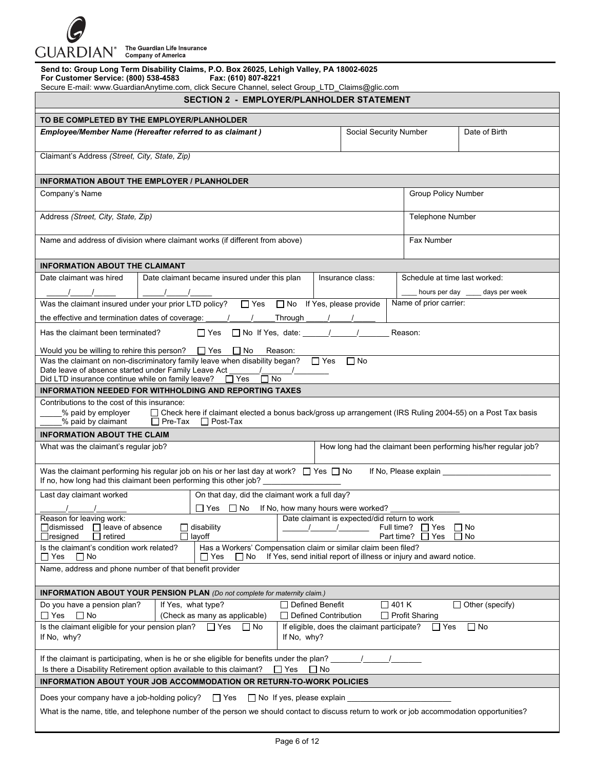

|                           |  | The Guardian Life Insurance |  |
|---------------------------|--|-----------------------------|--|
| <b>Company of America</b> |  |                             |  |

| Send to: Group Long Term Disability Claims, P.O. Box 26025, Lehigh Valley, PA 18002-6025<br>For Customer Service: (800) 538-4583<br>Fax: (610) 807-8221<br>Secure E-mail: www.GuardianAnytime.com, click Secure Channel, select Group_LTD_Claims@glic.com |                     |                                                                                                                                               |                                                  |  |                                    |                                                      |               |                                                                |
|-----------------------------------------------------------------------------------------------------------------------------------------------------------------------------------------------------------------------------------------------------------|---------------------|-----------------------------------------------------------------------------------------------------------------------------------------------|--------------------------------------------------|--|------------------------------------|------------------------------------------------------|---------------|----------------------------------------------------------------|
| <b>SECTION 2 - EMPLOYER/PLANHOLDER STATEMENT</b>                                                                                                                                                                                                          |                     |                                                                                                                                               |                                                  |  |                                    |                                                      |               |                                                                |
| TO BE COMPLETED BY THE EMPLOYER/PLANHOLDER                                                                                                                                                                                                                |                     |                                                                                                                                               |                                                  |  |                                    |                                                      |               |                                                                |
| Employee/Member Name (Hereafter referred to as claimant)<br>Social Security Number                                                                                                                                                                        |                     |                                                                                                                                               |                                                  |  |                                    |                                                      | Date of Birth |                                                                |
| Claimant's Address (Street, City, State, Zip)                                                                                                                                                                                                             |                     |                                                                                                                                               |                                                  |  |                                    |                                                      |               |                                                                |
| <b>INFORMATION ABOUT THE EMPLOYER / PLANHOLDER</b>                                                                                                                                                                                                        |                     |                                                                                                                                               |                                                  |  |                                    |                                                      |               |                                                                |
| Company's Name                                                                                                                                                                                                                                            | Group Policy Number |                                                                                                                                               |                                                  |  |                                    |                                                      |               |                                                                |
| Address (Street, City, State, Zip)                                                                                                                                                                                                                        |                     |                                                                                                                                               |                                                  |  |                                    | <b>Telephone Number</b>                              |               |                                                                |
| Name and address of division where claimant works (if different from above)                                                                                                                                                                               |                     |                                                                                                                                               |                                                  |  |                                    | Fax Number                                           |               |                                                                |
| <b>INFORMATION ABOUT THE CLAIMANT</b>                                                                                                                                                                                                                     |                     |                                                                                                                                               |                                                  |  |                                    |                                                      |               |                                                                |
| Date claimant was hired                                                                                                                                                                                                                                   |                     | Date claimant became insured under this plan                                                                                                  |                                                  |  | Insurance class:                   |                                                      |               | Schedule at time last worked:                                  |
|                                                                                                                                                                                                                                                           |                     |                                                                                                                                               |                                                  |  |                                    |                                                      |               | hours per day _____ days per week                              |
| Was the claimant insured under your prior LTD policy? $\Box$ Yes $\Box$ No If Yes, please provide                                                                                                                                                         |                     |                                                                                                                                               |                                                  |  |                                    | Name of prior carrier:                               |               |                                                                |
| the effective and termination dates of coverage: $\frac{1}{1}$                                                                                                                                                                                            |                     |                                                                                                                                               | Through                                          |  |                                    |                                                      |               |                                                                |
| Has the claimant been terminated?                                                                                                                                                                                                                         |                     | $\Box$ Yes $\Box$ No If Yes, date: $\Box$                                                                                                     |                                                  |  |                                    | Reason:                                              |               |                                                                |
| Would you be willing to rehire this person? $\Box$ Yes $\Box$ No                                                                                                                                                                                          |                     |                                                                                                                                               | Reason:                                          |  |                                    |                                                      |               |                                                                |
| Was the claimant on non-discriminatory family leave when disability began? $\Box$ Yes<br>Date leave of absence started under Family Leave Act<br>Did LTD insurance continue while on family leave?                                                        |                     | II Yes<br>l I No                                                                                                                              |                                                  |  | $\Box$ No                          |                                                      |               |                                                                |
| <b>INFORMATION NEEDED FOR WITHHOLDING AND REPORTING TAXES</b>                                                                                                                                                                                             |                     |                                                                                                                                               |                                                  |  |                                    |                                                      |               |                                                                |
| Contributions to the cost of this insurance:<br>% paid by employer<br>% paid by claimant                                                                                                                                                                  |                     | □ Check here if claimant elected a bonus back/gross up arrangement (IRS Ruling 2004-55) on a Post Tax basis<br>$\Box$ Pre-Tax $\Box$ Post-Tax |                                                  |  |                                    |                                                      |               |                                                                |
| <b>INFORMATION ABOUT THE CLAIM</b>                                                                                                                                                                                                                        |                     |                                                                                                                                               |                                                  |  |                                    |                                                      |               |                                                                |
| What was the claimant's regular job?                                                                                                                                                                                                                      |                     |                                                                                                                                               |                                                  |  |                                    |                                                      |               | How long had the claimant been performing his/her regular job? |
| Was the claimant performing his regular job on his or her last day at work? $\Box$ Yes $\Box$ No                                                                                                                                                          |                     |                                                                                                                                               |                                                  |  |                                    | If No, Please explain __                             |               |                                                                |
| If no, how long had this claimant been performing this other job?                                                                                                                                                                                         |                     |                                                                                                                                               |                                                  |  |                                    |                                                      |               |                                                                |
| Last day claimant worked <b>Community</b> On that day, did the claimant work a full day?                                                                                                                                                                  |                     |                                                                                                                                               |                                                  |  |                                    |                                                      |               |                                                                |
| Reason for leaving work:                                                                                                                                                                                                                                  |                     | ∩Yes ∩No                                                                                                                                      |                                                  |  | If No, how many hours were worked? | Date claimant is expected/did return to work         |               |                                                                |
| $\Box$ leave of absence<br>∏dismissed<br>$\Box$ resigned<br>retired                                                                                                                                                                                       |                     | $\Box$ disability<br>$\Box$ layoff                                                                                                            |                                                  |  |                                    | Full time?<br>$\Box$ Yes<br>Part time?<br>$\Box$ Yes |               | $\Box$ No<br>$\Box$ No                                         |
| Is the claimant's condition work related?<br>Has a Workers' Compensation claim or similar claim been filed?<br>$\Box$ Yes<br>If Yes, send initial report of illness or injury and award notice.<br>$\Box$ No<br>∐ Yes<br>$\Box$ No                        |                     |                                                                                                                                               |                                                  |  |                                    |                                                      |               |                                                                |
| Name, address and phone number of that benefit provider                                                                                                                                                                                                   |                     |                                                                                                                                               |                                                  |  |                                    |                                                      |               |                                                                |
| <b>INFORMATION ABOUT YOUR PENSION PLAN</b> (Do not complete for maternity claim.)                                                                                                                                                                         |                     |                                                                                                                                               |                                                  |  |                                    |                                                      |               |                                                                |
| Do you have a pension plan?<br>$\Box$ Yes<br>$\Box$ No                                                                                                                                                                                                    |                     | If Yes, what type?<br>(Check as many as applicable)                                                                                           | $\Box$ Defined Benefit<br>□ Defined Contribution |  |                                    | $\Box$ 401 K<br>$\Box$ Profit Sharing                |               | $\Box$ Other (specify)                                         |
| Is the claimant eligible for your pension plan?<br>$\Box$ Yes<br>If eligible, does the claimant participate?<br>$\Box$ No<br>$\Box$ No<br>$\Box$ Yes<br>If No, why?<br>If No, why?                                                                        |                     |                                                                                                                                               |                                                  |  |                                    |                                                      |               |                                                                |
| If the claimant is participating, when is he or she eligible for benefits under the plan?<br>Is there a Disability Retirement option available to this claimant?<br>$\Box$ Yes<br>$\Box$ No                                                               |                     |                                                                                                                                               |                                                  |  |                                    |                                                      |               |                                                                |
| INFORMATION ABOUT YOUR JOB ACCOMMODATION OR RETURN-TO-WORK POLICIES                                                                                                                                                                                       |                     |                                                                                                                                               |                                                  |  |                                    |                                                      |               |                                                                |
| Does your company have a job-holding policy?                                                                                                                                                                                                              |                     | $\Box$ Yes                                                                                                                                    | $\Box$ No If yes, please explain                 |  |                                    |                                                      |               |                                                                |
|                                                                                                                                                                                                                                                           |                     |                                                                                                                                               |                                                  |  |                                    |                                                      |               |                                                                |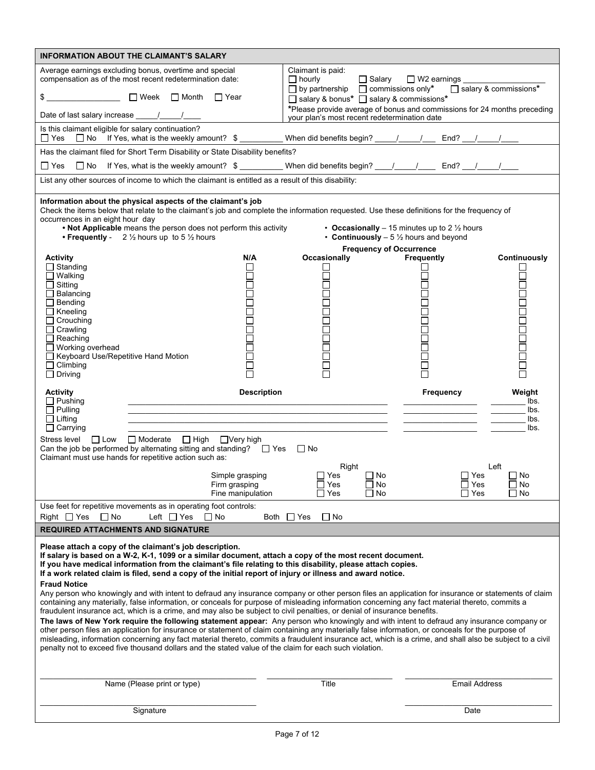|                                                                                           | <b>INFORMATION ABOUT THE CLAIMANT'S SALARY</b>                                                                                                                                                                                                                                                                                                                                                                                                                                                                                                                                                                                                                                                                                                                                                                                                                                                                                                                                                                                                                                                                                                                                                                                                                                                                                                                                                                 |                    |                                              |                                |                                                                                                            |                                                                          |
|-------------------------------------------------------------------------------------------|----------------------------------------------------------------------------------------------------------------------------------------------------------------------------------------------------------------------------------------------------------------------------------------------------------------------------------------------------------------------------------------------------------------------------------------------------------------------------------------------------------------------------------------------------------------------------------------------------------------------------------------------------------------------------------------------------------------------------------------------------------------------------------------------------------------------------------------------------------------------------------------------------------------------------------------------------------------------------------------------------------------------------------------------------------------------------------------------------------------------------------------------------------------------------------------------------------------------------------------------------------------------------------------------------------------------------------------------------------------------------------------------------------------|--------------------|----------------------------------------------|--------------------------------|------------------------------------------------------------------------------------------------------------|--------------------------------------------------------------------------|
|                                                                                           | Average earnings excluding bonus, overtime and special<br>compensation as of the most recent redetermination date:                                                                                                                                                                                                                                                                                                                                                                                                                                                                                                                                                                                                                                                                                                                                                                                                                                                                                                                                                                                                                                                                                                                                                                                                                                                                                             |                    | Claimant is paid:<br>$\Box$ hourly           | $\Box$ Salary                  | $\Box$ W2 earnings                                                                                         |                                                                          |
|                                                                                           | $\Box$ Week $\Box$ Month<br>□ Year                                                                                                                                                                                                                                                                                                                                                                                                                                                                                                                                                                                                                                                                                                                                                                                                                                                                                                                                                                                                                                                                                                                                                                                                                                                                                                                                                                             |                    | □ salary & bonus* □ salary & commissions*    |                                | $\Box$ by partnership $\Box$ commissions only* $\Box$ salary & commissions*                                |                                                                          |
|                                                                                           |                                                                                                                                                                                                                                                                                                                                                                                                                                                                                                                                                                                                                                                                                                                                                                                                                                                                                                                                                                                                                                                                                                                                                                                                                                                                                                                                                                                                                |                    | your plan's most recent redetermination date |                                |                                                                                                            | *Please provide average of bonus and commissions for 24 months preceding |
| Is this claimant eligible for salary continuation?<br>$\Box$ Yes                          | □ No If Yes, what is the weekly amount? \$                                                                                                                                                                                                                                                                                                                                                                                                                                                                                                                                                                                                                                                                                                                                                                                                                                                                                                                                                                                                                                                                                                                                                                                                                                                                                                                                                                     |                    |                                              |                                | When did benefits begin? _________________________ End? _________________________                          |                                                                          |
|                                                                                           | Has the claimant filed for Short Term Disability or State Disability benefits?                                                                                                                                                                                                                                                                                                                                                                                                                                                                                                                                                                                                                                                                                                                                                                                                                                                                                                                                                                                                                                                                                                                                                                                                                                                                                                                                 |                    |                                              |                                |                                                                                                            |                                                                          |
|                                                                                           | □ Yes □ No If Yes, what is the weekly amount? \$ _________ When did benefits begin? ___/____/____ End? __/____/_                                                                                                                                                                                                                                                                                                                                                                                                                                                                                                                                                                                                                                                                                                                                                                                                                                                                                                                                                                                                                                                                                                                                                                                                                                                                                               |                    |                                              |                                |                                                                                                            |                                                                          |
|                                                                                           | List any other sources of income to which the claimant is entitled as a result of this disability:                                                                                                                                                                                                                                                                                                                                                                                                                                                                                                                                                                                                                                                                                                                                                                                                                                                                                                                                                                                                                                                                                                                                                                                                                                                                                                             |                    |                                              |                                |                                                                                                            |                                                                          |
| occurrences in an eight hour day                                                          | Information about the physical aspects of the claimant's job<br>Check the items below that relate to the claimant's job and complete the information requested. Use these definitions for the frequency of<br>. Not Applicable means the person does not perform this activity<br>• Frequently - $2\frac{1}{2}$ hours up to 5 $\frac{1}{2}$ hours                                                                                                                                                                                                                                                                                                                                                                                                                                                                                                                                                                                                                                                                                                                                                                                                                                                                                                                                                                                                                                                              |                    |                                              | <b>Frequency of Occurrence</b> | • Occasionally – 15 minutes up to 2 $\frac{1}{2}$ hours<br>• Continuously $-5\frac{1}{2}$ hours and beyond |                                                                          |
| <b>Activity</b>                                                                           |                                                                                                                                                                                                                                                                                                                                                                                                                                                                                                                                                                                                                                                                                                                                                                                                                                                                                                                                                                                                                                                                                                                                                                                                                                                                                                                                                                                                                | N/A                | Occasionally                                 |                                | Frequently                                                                                                 | Continuously                                                             |
| $\Box$ Standing<br>$\Box$ Walking<br>$\Box$ Sitting<br>$\Box$ Balancing<br>$\Box$ Bending |                                                                                                                                                                                                                                                                                                                                                                                                                                                                                                                                                                                                                                                                                                                                                                                                                                                                                                                                                                                                                                                                                                                                                                                                                                                                                                                                                                                                                |                    | 80<br>80                                     |                                |                                                                                                            | Ē<br>┑                                                                   |
| $\Box$ Kneeling                                                                           |                                                                                                                                                                                                                                                                                                                                                                                                                                                                                                                                                                                                                                                                                                                                                                                                                                                                                                                                                                                                                                                                                                                                                                                                                                                                                                                                                                                                                |                    |                                              |                                |                                                                                                            |                                                                          |
| Crouching<br>$\Box$ Crawling                                                              |                                                                                                                                                                                                                                                                                                                                                                                                                                                                                                                                                                                                                                                                                                                                                                                                                                                                                                                                                                                                                                                                                                                                                                                                                                                                                                                                                                                                                |                    |                                              |                                |                                                                                                            |                                                                          |
| $\Box$ Reaching<br>$\Box$ Working overhead                                                |                                                                                                                                                                                                                                                                                                                                                                                                                                                                                                                                                                                                                                                                                                                                                                                                                                                                                                                                                                                                                                                                                                                                                                                                                                                                                                                                                                                                                |                    |                                              |                                |                                                                                                            | 88<br>88                                                                 |
| □ Keyboard Use/Repetitive Hand Motion<br>$\Box$ Climbing                                  |                                                                                                                                                                                                                                                                                                                                                                                                                                                                                                                                                                                                                                                                                                                                                                                                                                                                                                                                                                                                                                                                                                                                                                                                                                                                                                                                                                                                                |                    |                                              |                                |                                                                                                            |                                                                          |
| $\Box$ Driving                                                                            |                                                                                                                                                                                                                                                                                                                                                                                                                                                                                                                                                                                                                                                                                                                                                                                                                                                                                                                                                                                                                                                                                                                                                                                                                                                                                                                                                                                                                |                    |                                              |                                |                                                                                                            | ō                                                                        |
|                                                                                           |                                                                                                                                                                                                                                                                                                                                                                                                                                                                                                                                                                                                                                                                                                                                                                                                                                                                                                                                                                                                                                                                                                                                                                                                                                                                                                                                                                                                                |                    |                                              |                                |                                                                                                            |                                                                          |
| <b>Activity</b><br>$\Box$ Pushing                                                         |                                                                                                                                                                                                                                                                                                                                                                                                                                                                                                                                                                                                                                                                                                                                                                                                                                                                                                                                                                                                                                                                                                                                                                                                                                                                                                                                                                                                                | <b>Description</b> |                                              |                                | <b>Frequency</b>                                                                                           | Weight<br>lbs.                                                           |
| $\Box$ Pulling                                                                            | <u> 1989 - Paris Paris, president e poeta estadounidense e a contineiro de la provincia de la provincia de la pr</u>                                                                                                                                                                                                                                                                                                                                                                                                                                                                                                                                                                                                                                                                                                                                                                                                                                                                                                                                                                                                                                                                                                                                                                                                                                                                                           |                    |                                              |                                |                                                                                                            | lbs.                                                                     |
| $\Box$ Lifting<br>$\Box$ Carrying                                                         |                                                                                                                                                                                                                                                                                                                                                                                                                                                                                                                                                                                                                                                                                                                                                                                                                                                                                                                                                                                                                                                                                                                                                                                                                                                                                                                                                                                                                |                    |                                              |                                |                                                                                                            | lbs.<br>lbs.                                                             |
| Stress level                                                                              | $\Box$ Low $\Box$ Moderate $\Box$ High<br>$\Box$ Very high<br>Can the job be performed by alternating sitting and standing? $\Box$ Yes $\Box$ No<br>Claimant must use hands for repetitive action such as:                                                                                                                                                                                                                                                                                                                                                                                                                                                                                                                                                                                                                                                                                                                                                                                                                                                                                                                                                                                                                                                                                                                                                                                                     |                    |                                              |                                |                                                                                                            |                                                                          |
|                                                                                           | Simple grasping                                                                                                                                                                                                                                                                                                                                                                                                                                                                                                                                                                                                                                                                                                                                                                                                                                                                                                                                                                                                                                                                                                                                                                                                                                                                                                                                                                                                |                    | Right<br>$\Box$ Yes                          | $\square$ No                   | $\Box$ Yes                                                                                                 | Left<br>$\Box$ No                                                        |
|                                                                                           | Firm grasping<br>Fine manipulation                                                                                                                                                                                                                                                                                                                                                                                                                                                                                                                                                                                                                                                                                                                                                                                                                                                                                                                                                                                                                                                                                                                                                                                                                                                                                                                                                                             |                    | $\Box$ Yes<br>$\Box$ Yes                     | $\Box$ No<br>$\square$ No      | $\Box$ Yes<br>$\square$ Yes                                                                                | $\Box$ No<br>$\square$ No                                                |
| $\Box$ No                                                                                 | Use feet for repetitive movements as in operating foot controls:<br>Left $\Box$ Yes<br>l I No                                                                                                                                                                                                                                                                                                                                                                                                                                                                                                                                                                                                                                                                                                                                                                                                                                                                                                                                                                                                                                                                                                                                                                                                                                                                                                                  |                    | $\Box$ No                                    |                                |                                                                                                            |                                                                          |
| Right $\Box$ Yes                                                                          |                                                                                                                                                                                                                                                                                                                                                                                                                                                                                                                                                                                                                                                                                                                                                                                                                                                                                                                                                                                                                                                                                                                                                                                                                                                                                                                                                                                                                | Both $\Box$ Yes    |                                              |                                |                                                                                                            |                                                                          |
| <b>REQUIRED ATTACHMENTS AND SIGNATURE</b><br><b>Fraud Notice</b>                          | Please attach a copy of the claimant's job description.<br>If salary is based on a W-2, K-1, 1099 or a similar document, attach a copy of the most recent document.<br>If you have medical information from the claimant's file relating to this disability, please attach copies.<br>If a work related claim is filed, send a copy of the initial report of injury or illness and award notice.<br>Any person who knowingly and with intent to defraud any insurance company or other person files an application for insurance or statements of claim<br>containing any materially, false information, or conceals for purpose of misleading information concerning any fact material thereto, commits a<br>fraudulent insurance act, which is a crime, and may also be subject to civil penalties, or denial of insurance benefits.<br>The laws of New York require the following statement appear: Any person who knowingly and with intent to defraud any insurance company or<br>other person files an application for insurance or statement of claim containing any materially false information, or conceals for the purpose of<br>misleading, information concerning any fact material thereto, commits a fraudulent insurance act, which is a crime, and shall also be subject to a civil<br>penalty not to exceed five thousand dollars and the stated value of the claim for each such violation. |                    |                                              |                                |                                                                                                            |                                                                          |

Signature **Date Date 2019 Contract Contract Contract Contract Contract Contract Contract Contract Contract Contract Contract Contract Contract Contract Contract Contract Contract Contract Contract Contract Contract Con**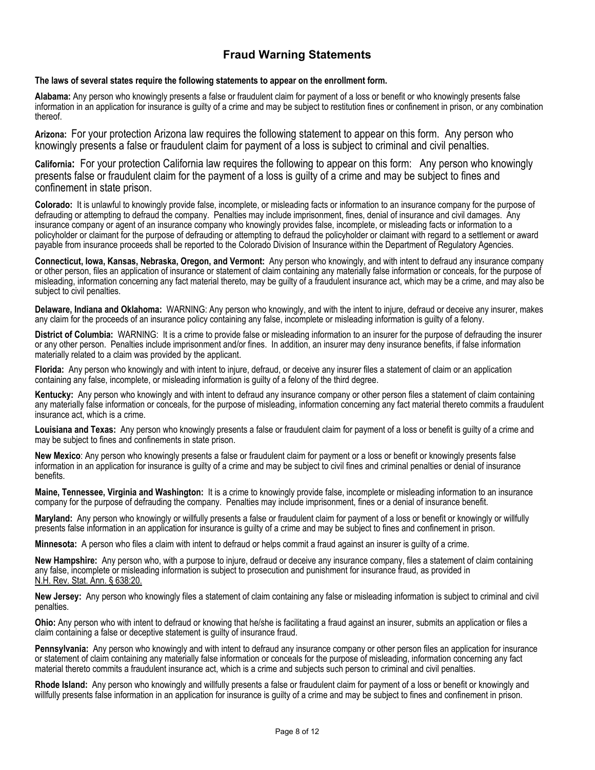## **Fraud Warning Statements**

#### **The laws of several states require the following statements to appear on the enrollment form.**

**Alabama:** Any person who knowingly presents a false or fraudulent claim for payment of a loss or benefit or who knowingly presents false information in an application for insurance is guilty of a crime and may be subject to restitution fines or confinement in prison, or any combination thereof.

**Arizona:** For your protection Arizona law requires the following statement to appear on this form. Any person who knowingly presents a false or fraudulent claim for payment of a loss is subject to criminal and civil penalties.

**California:** For your protection California law requires the following to appear on this form: Any person who knowingly presents false or fraudulent claim for the payment of a loss is guilty of a crime and may be subject to fines and confinement in state prison.

**Colorado:** It is unlawful to knowingly provide false, incomplete, or misleading facts or information to an insurance company for the purpose of defrauding or attempting to defraud the company. Penalties may include imprisonment, fines, denial of insurance and civil damages. Any insurance company or agent of an insurance company who knowingly provides false, incomplete, or misleading facts or information to a policyholder or claimant for the purpose of defrauding or attempting to defraud the policyholder or claimant with regard to a settlement or award payable from insurance proceeds shall be reported to the Colorado Division of Insurance within the Department of Regulatory Agencies.

**Connecticut, Iowa, Kansas, Nebraska, Oregon, and Vermont:** Any person who knowingly, and with intent to defraud any insurance company or other person, files an application of insurance or statement of claim containing any materially false information or conceals, for the purpose of misleading, information concerning any fact material thereto, may be guilty of a fraudulent insurance act, which may be a crime, and may also be subject to civil penalties.

**Delaware, Indiana and Oklahoma:** WARNING: Any person who knowingly, and with the intent to injure, defraud or deceive any insurer, makes any claim for the proceeds of an insurance policy containing any false, incomplete or misleading information is guilty of a felony.

**District of Columbia:** WARNING: It is a crime to provide false or misleading information to an insurer for the purpose of defrauding the insurer or any other person. Penalties include imprisonment and/or fines. In addition, an insurer may deny insurance benefits, if false information materially related to a claim was provided by the applicant.

**Florida:** Any person who knowingly and with intent to injure, defraud, or deceive any insurer files a statement of claim or an application containing any false, incomplete, or misleading information is guilty of a felony of the third degree.

**Kentucky:** Any person who knowingly and with intent to defraud any insurance company or other person files a statement of claim containing any materially false information or conceals, for the purpose of misleading, information concerning any fact material thereto commits a fraudulent insurance act, which is a crime.

**Louisiana and Texas:** Any person who knowingly presents a false or fraudulent claim for payment of a loss or benefit is guilty of a crime and may be subject to fines and confinements in state prison.

**New Mexico**: Any person who knowingly presents a false or fraudulent claim for payment or a loss or benefit or knowingly presents false information in an application for insurance is guilty of a crime and may be subject to civil fines and criminal penalties or denial of insurance benefits.

**Maine, Tennessee, Virginia and Washington:** It is a crime to knowingly provide false, incomplete or misleading information to an insurance company for the purpose of defrauding the company. Penalties may include imprisonment, fines or a denial of insurance benefit.

**Maryland:** Any person who knowingly or willfully presents a false or fraudulent claim for payment of a loss or benefit or knowingly or willfully presents false information in an application for insurance is guilty of a crime and may be subject to fines and confinement in prison.

**Minnesota:** A person who files a claim with intent to defraud or helps commit a fraud against an insurer is guilty of a crime.

**New Hampshire:** Any person who, with a purpose to injure, defraud or deceive any insurance company, files a statement of claim containing any false, incomplete or misleading information is subject to prosecution and punishment for insurance fraud, as provided in N.H. Rev. Stat. Ann. § 638:20.

**New Jersey:** Any person who knowingly files a statement of claim containing any false or misleading information is subject to criminal and civil penalties.

**Ohio:** Any person who with intent to defraud or knowing that he/she is facilitating a fraud against an insurer, submits an application or files a claim containing a false or deceptive statement is guilty of insurance fraud.

**Pennsylvania:** Any person who knowingly and with intent to defraud any insurance company or other person files an application for insurance or statement of claim containing any materially false information or conceals for the purpose of misleading, information concerning any fact material thereto commits a fraudulent insurance act, which is a crime and subjects such person to criminal and civil penalties.

**Rhode Island:** Any person who knowingly and willfully presents a false or fraudulent claim for payment of a loss or benefit or knowingly and willfully presents false information in an application for insurance is guilty of a crime and may be subject to fines and confinement in prison.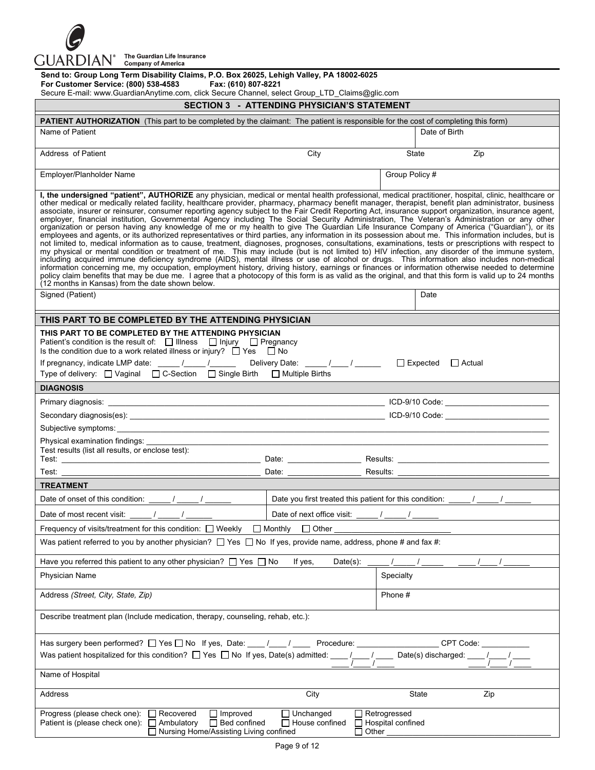

| Send to: Group Long Term Disability Claims, P.O. Box 26025, Lehigh Valley, PA 18002-6025<br>For Customer Service: (800) 538-4583<br>Fax: (610) 807-8221<br>Secure E-mail: www.GuardianAnytime.com, click Secure Channel, select Group_LTD_Claims@glic.com                                                                                                                                                                                                                                                                                                                                                                                                                                                                                                                                                                                                                                                                                                                                                                                                                                                                                                                                                                                                                                                                                                                                                                                                                                                                                                                                                                                                                                                                                                    |                                                                                                                |                                          |               |  |  |  |
|--------------------------------------------------------------------------------------------------------------------------------------------------------------------------------------------------------------------------------------------------------------------------------------------------------------------------------------------------------------------------------------------------------------------------------------------------------------------------------------------------------------------------------------------------------------------------------------------------------------------------------------------------------------------------------------------------------------------------------------------------------------------------------------------------------------------------------------------------------------------------------------------------------------------------------------------------------------------------------------------------------------------------------------------------------------------------------------------------------------------------------------------------------------------------------------------------------------------------------------------------------------------------------------------------------------------------------------------------------------------------------------------------------------------------------------------------------------------------------------------------------------------------------------------------------------------------------------------------------------------------------------------------------------------------------------------------------------------------------------------------------------|----------------------------------------------------------------------------------------------------------------|------------------------------------------|---------------|--|--|--|
|                                                                                                                                                                                                                                                                                                                                                                                                                                                                                                                                                                                                                                                                                                                                                                                                                                                                                                                                                                                                                                                                                                                                                                                                                                                                                                                                                                                                                                                                                                                                                                                                                                                                                                                                                              | <b>SECTION 3 - ATTENDING PHYSICIAN'S STATEMENT</b>                                                             |                                          |               |  |  |  |
| <b>PATIENT AUTHORIZATION</b> (This part to be completed by the claimant: The patient is responsible for the cost of completing this form)                                                                                                                                                                                                                                                                                                                                                                                                                                                                                                                                                                                                                                                                                                                                                                                                                                                                                                                                                                                                                                                                                                                                                                                                                                                                                                                                                                                                                                                                                                                                                                                                                    |                                                                                                                |                                          |               |  |  |  |
| Name of Patient                                                                                                                                                                                                                                                                                                                                                                                                                                                                                                                                                                                                                                                                                                                                                                                                                                                                                                                                                                                                                                                                                                                                                                                                                                                                                                                                                                                                                                                                                                                                                                                                                                                                                                                                              |                                                                                                                | Date of Birth                            |               |  |  |  |
| Address of Patient                                                                                                                                                                                                                                                                                                                                                                                                                                                                                                                                                                                                                                                                                                                                                                                                                                                                                                                                                                                                                                                                                                                                                                                                                                                                                                                                                                                                                                                                                                                                                                                                                                                                                                                                           | City                                                                                                           | State                                    | Zip           |  |  |  |
| Employer/Planholder Name                                                                                                                                                                                                                                                                                                                                                                                                                                                                                                                                                                                                                                                                                                                                                                                                                                                                                                                                                                                                                                                                                                                                                                                                                                                                                                                                                                                                                                                                                                                                                                                                                                                                                                                                     |                                                                                                                | Group Policy #                           |               |  |  |  |
| I, the undersigned "patient", AUTHORIZE any physician, medical or mental health professional, medical practitioner, hospital, clinic, healthcare or<br>other medical or medically related facility, healthcare provider, pharmacy, pharmacy benefit manager, therapist, benefit plan administrator, business<br>associate, insurer or reinsurer, consumer reporting agency subject to the Fair Credit Reporting Act, insurance support organization, insurance agent,<br>employer, financial institution, Governmental Agency including The Social Security Administration, The Veteran's Administration or any other<br>organization or person having any knowledge of me or my health to give The Guardian Life Insurance Company of America ("Guardian"), or its<br>employees and agents, or its authorized representatives or third parties, any information in its possession about me. This information includes, but is<br>not limited to, medical information as to cause, treatment, diagnoses, prognoses, consultations, examinations, tests or prescriptions with respect to<br>my physical or mental condition or treatment of me. This may include (but is not limited to) HIV infection, any disorder of the immune system,<br>including acquired immune deficiency syndrome (AIDS), mental illness or use of alcohol or drugs. This information also includes non-medical<br>information concerning me, my occupation, employment history, driving history, earnings or finances or information otherwise needed to determine<br>policy claim benefits that may be due me. I agree that a photocopy of this form is as valid as the original, and that this form is valid up to 24 months<br>(12 months in Kansas) from the date shown below. |                                                                                                                |                                          |               |  |  |  |
| Signed (Patient)                                                                                                                                                                                                                                                                                                                                                                                                                                                                                                                                                                                                                                                                                                                                                                                                                                                                                                                                                                                                                                                                                                                                                                                                                                                                                                                                                                                                                                                                                                                                                                                                                                                                                                                                             |                                                                                                                | Date                                     |               |  |  |  |
| THIS PART TO BE COMPLETED BY THE ATTENDING PHYSICIAN                                                                                                                                                                                                                                                                                                                                                                                                                                                                                                                                                                                                                                                                                                                                                                                                                                                                                                                                                                                                                                                                                                                                                                                                                                                                                                                                                                                                                                                                                                                                                                                                                                                                                                         |                                                                                                                |                                          |               |  |  |  |
| THIS PART TO BE COMPLETED BY THE ATTENDING PHYSICIAN<br>Patient's condition is the result of: $\Box$ Illness $\Box$ Injury $\Box$ Pregnancy<br>Is the condition due to a work related illness or injury? $\Box$ Yes $\Box$ No<br>Type of delivery: □ Vaginal □ C-Section □ Single Birth □ Multiple Births                                                                                                                                                                                                                                                                                                                                                                                                                                                                                                                                                                                                                                                                                                                                                                                                                                                                                                                                                                                                                                                                                                                                                                                                                                                                                                                                                                                                                                                    |                                                                                                                | $\Box$ Expected                          | $\Box$ Actual |  |  |  |
| <b>DIAGNOSIS</b>                                                                                                                                                                                                                                                                                                                                                                                                                                                                                                                                                                                                                                                                                                                                                                                                                                                                                                                                                                                                                                                                                                                                                                                                                                                                                                                                                                                                                                                                                                                                                                                                                                                                                                                                             |                                                                                                                |                                          |               |  |  |  |
|                                                                                                                                                                                                                                                                                                                                                                                                                                                                                                                                                                                                                                                                                                                                                                                                                                                                                                                                                                                                                                                                                                                                                                                                                                                                                                                                                                                                                                                                                                                                                                                                                                                                                                                                                              |                                                                                                                |                                          |               |  |  |  |
|                                                                                                                                                                                                                                                                                                                                                                                                                                                                                                                                                                                                                                                                                                                                                                                                                                                                                                                                                                                                                                                                                                                                                                                                                                                                                                                                                                                                                                                                                                                                                                                                                                                                                                                                                              |                                                                                                                |                                          |               |  |  |  |
|                                                                                                                                                                                                                                                                                                                                                                                                                                                                                                                                                                                                                                                                                                                                                                                                                                                                                                                                                                                                                                                                                                                                                                                                                                                                                                                                                                                                                                                                                                                                                                                                                                                                                                                                                              |                                                                                                                |                                          |               |  |  |  |
| Physical examination findings:<br>Test results (list all results, or enclose test):                                                                                                                                                                                                                                                                                                                                                                                                                                                                                                                                                                                                                                                                                                                                                                                                                                                                                                                                                                                                                                                                                                                                                                                                                                                                                                                                                                                                                                                                                                                                                                                                                                                                          |                                                                                                                |                                          |               |  |  |  |
| Test:                                                                                                                                                                                                                                                                                                                                                                                                                                                                                                                                                                                                                                                                                                                                                                                                                                                                                                                                                                                                                                                                                                                                                                                                                                                                                                                                                                                                                                                                                                                                                                                                                                                                                                                                                        |                                                                                                                |                                          |               |  |  |  |
| <b>TREATMENT</b>                                                                                                                                                                                                                                                                                                                                                                                                                                                                                                                                                                                                                                                                                                                                                                                                                                                                                                                                                                                                                                                                                                                                                                                                                                                                                                                                                                                                                                                                                                                                                                                                                                                                                                                                             |                                                                                                                |                                          |               |  |  |  |
| Date of onset of this condition:                                                                                                                                                                                                                                                                                                                                                                                                                                                                                                                                                                                                                                                                                                                                                                                                                                                                                                                                                                                                                                                                                                                                                                                                                                                                                                                                                                                                                                                                                                                                                                                                                                                                                                                             | Date you first treated this patient for this condition: _____/ _____/                                          |                                          |               |  |  |  |
| Date of most recent visit:                                                                                                                                                                                                                                                                                                                                                                                                                                                                                                                                                                                                                                                                                                                                                                                                                                                                                                                                                                                                                                                                                                                                                                                                                                                                                                                                                                                                                                                                                                                                                                                                                                                                                                                                   | Date of next office visit:                                                                                     |                                          |               |  |  |  |
| Frequency of visits/treatment for this condition: $\Box$ Weekly                                                                                                                                                                                                                                                                                                                                                                                                                                                                                                                                                                                                                                                                                                                                                                                                                                                                                                                                                                                                                                                                                                                                                                                                                                                                                                                                                                                                                                                                                                                                                                                                                                                                                              | $\Box$ Monthly<br>$\Box$ Other                                                                                 |                                          |               |  |  |  |
| Was patient referred to you by another physician? $\Box$ Yes $\Box$ No If yes, provide name, address, phone # and fax #:                                                                                                                                                                                                                                                                                                                                                                                                                                                                                                                                                                                                                                                                                                                                                                                                                                                                                                                                                                                                                                                                                                                                                                                                                                                                                                                                                                                                                                                                                                                                                                                                                                     |                                                                                                                |                                          |               |  |  |  |
| Have you referred this patient to any other physician? $\Box$ Yes $\Box$ No                                                                                                                                                                                                                                                                                                                                                                                                                                                                                                                                                                                                                                                                                                                                                                                                                                                                                                                                                                                                                                                                                                                                                                                                                                                                                                                                                                                                                                                                                                                                                                                                                                                                                  | If yes,<br>Date(s):                                                                                            |                                          |               |  |  |  |
| Physician Name                                                                                                                                                                                                                                                                                                                                                                                                                                                                                                                                                                                                                                                                                                                                                                                                                                                                                                                                                                                                                                                                                                                                                                                                                                                                                                                                                                                                                                                                                                                                                                                                                                                                                                                                               |                                                                                                                | Specialty                                |               |  |  |  |
| Phone #<br>Address (Street, City, State, Zip)                                                                                                                                                                                                                                                                                                                                                                                                                                                                                                                                                                                                                                                                                                                                                                                                                                                                                                                                                                                                                                                                                                                                                                                                                                                                                                                                                                                                                                                                                                                                                                                                                                                                                                                |                                                                                                                |                                          |               |  |  |  |
| Describe treatment plan (Include medication, therapy, counseling, rehab, etc.):                                                                                                                                                                                                                                                                                                                                                                                                                                                                                                                                                                                                                                                                                                                                                                                                                                                                                                                                                                                                                                                                                                                                                                                                                                                                                                                                                                                                                                                                                                                                                                                                                                                                              |                                                                                                                |                                          |               |  |  |  |
| Was patient hospitalized for this condition? $\Box$ Yes $\Box$ No If yes, Date(s) admitted: ____/____/____                                                                                                                                                                                                                                                                                                                                                                                                                                                                                                                                                                                                                                                                                                                                                                                                                                                                                                                                                                                                                                                                                                                                                                                                                                                                                                                                                                                                                                                                                                                                                                                                                                                   | Procedure: The contract of the contract of the contract of the contract of the contract of the contract of the | Date(s) discharged: ____ /               | CPT Code:     |  |  |  |
| Name of Hospital                                                                                                                                                                                                                                                                                                                                                                                                                                                                                                                                                                                                                                                                                                                                                                                                                                                                                                                                                                                                                                                                                                                                                                                                                                                                                                                                                                                                                                                                                                                                                                                                                                                                                                                                             |                                                                                                                |                                          |               |  |  |  |
| Address                                                                                                                                                                                                                                                                                                                                                                                                                                                                                                                                                                                                                                                                                                                                                                                                                                                                                                                                                                                                                                                                                                                                                                                                                                                                                                                                                                                                                                                                                                                                                                                                                                                                                                                                                      | City                                                                                                           | State                                    | Zip           |  |  |  |
| Progress (please check one):<br>$\Box$ Recovered<br>$\Box$ Improved<br>$\Box$ Bed confined<br>Patient is (please check one): $\Box$ Ambulatory<br>□ Nursing Home/Assisting Living confined                                                                                                                                                                                                                                                                                                                                                                                                                                                                                                                                                                                                                                                                                                                                                                                                                                                                                                                                                                                                                                                                                                                                                                                                                                                                                                                                                                                                                                                                                                                                                                   | Unchanged<br>$\Box$ House confined<br>$\Box$ Other                                                             | $\Box$ Retrogressed<br>Hospital confined |               |  |  |  |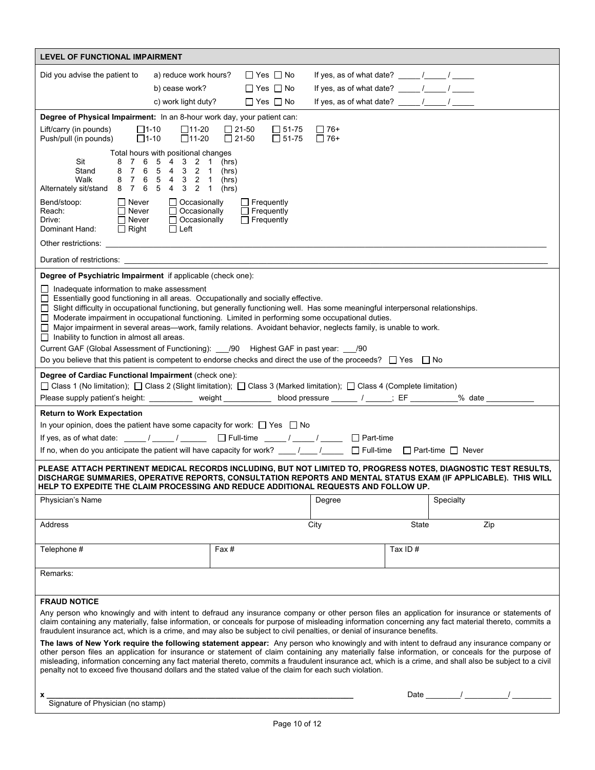| <b>LEVEL OF FUNCTIONAL IMPAIRMENT</b>                                                                                                                                                                                                                                                                                                                                                                                                                                                                                                                                |                                           |                              |                              |                                                        |         |           |        |
|----------------------------------------------------------------------------------------------------------------------------------------------------------------------------------------------------------------------------------------------------------------------------------------------------------------------------------------------------------------------------------------------------------------------------------------------------------------------------------------------------------------------------------------------------------------------|-------------------------------------------|------------------------------|------------------------------|--------------------------------------------------------|---------|-----------|--------|
| Did you advise the patient to                                                                                                                                                                                                                                                                                                                                                                                                                                                                                                                                        | a) reduce work hours?                     |                              | $\Box$ Yes $\Box$ No         |                                                        |         |           |        |
|                                                                                                                                                                                                                                                                                                                                                                                                                                                                                                                                                                      | b) cease work?                            |                              | $\Box$ Yes $\Box$ No         | If yes, as of what date? $\frac{1}{2}$ / $\frac{1}{2}$ |         |           |        |
|                                                                                                                                                                                                                                                                                                                                                                                                                                                                                                                                                                      | c) work light duty?                       |                              | $\Box$ Yes $\Box$ No         |                                                        |         |           |        |
| Degree of Physical Impairment: In an 8-hour work day, your patient can:                                                                                                                                                                                                                                                                                                                                                                                                                                                                                              |                                           |                              |                              |                                                        |         |           |        |
| $\square$ 1-10<br>Lift/carry (in pounds)<br>Push/pull (in pounds)<br>$\Box$ 1-10                                                                                                                                                                                                                                                                                                                                                                                                                                                                                     | $\square$ 11-20<br>$\Box$ 11-20           | $\Box$ 21-50<br>$\Box$ 21-50 | $\Box$ 51-75<br>$\Box$ 51-75 | $\Box$ 76+<br>$\Box$ 76+                               |         |           |        |
|                                                                                                                                                                                                                                                                                                                                                                                                                                                                                                                                                                      | Total hours with positional changes       |                              |                              |                                                        |         |           |        |
| Sit<br>8<br>6<br>7<br>Stand<br>$\overline{7}$<br>6<br>8                                                                                                                                                                                                                                                                                                                                                                                                                                                                                                              | 5 <sup>5</sup><br>4 3<br>2 1<br>5 4 3 2 1 | (hrs)<br>(hrs)               |                              |                                                        |         |           |        |
| Walk<br>87<br>6<br>Alternately sit/stand 8 7 6                                                                                                                                                                                                                                                                                                                                                                                                                                                                                                                       | 5 4 3 2 1<br>5 4 3 2 1                    | (hrs)                        |                              |                                                        |         |           |        |
| $\Box$ Never                                                                                                                                                                                                                                                                                                                                                                                                                                                                                                                                                         | $\Box$ Occasionally                       | (hrs)                        | $\Box$ Frequently            |                                                        |         |           |        |
| Bend/stoop:<br>Reach:<br>$\Box$ Never                                                                                                                                                                                                                                                                                                                                                                                                                                                                                                                                | $\Box$ Occasionally                       |                              | $\Box$ Frequently            |                                                        |         |           |        |
| $\Box$ Never<br>Drive:<br>$\Box$ Right                                                                                                                                                                                                                                                                                                                                                                                                                                                                                                                               | Occasionally<br>$\Box$ Left               |                              | $\Box$ Frequently            |                                                        |         |           |        |
| Dominant Hand:                                                                                                                                                                                                                                                                                                                                                                                                                                                                                                                                                       |                                           |                              |                              |                                                        |         |           |        |
| Other restrictions:                                                                                                                                                                                                                                                                                                                                                                                                                                                                                                                                                  |                                           |                              |                              |                                                        |         |           |        |
| Duration of restrictions:                                                                                                                                                                                                                                                                                                                                                                                                                                                                                                                                            |                                           |                              |                              |                                                        |         |           |        |
| Degree of Psychiatric Impairment if applicable (check one):                                                                                                                                                                                                                                                                                                                                                                                                                                                                                                          |                                           |                              |                              |                                                        |         |           |        |
| $\Box$ Inadequate information to make assessment<br>□ Essentially good functioning in all areas. Occupationally and socially effective.<br>□ Slight difficulty in occupational functioning, but generally functioning well. Has some meaningful interpersonal relationships.<br>□ Moderate impairment in occupational functioning. Limited in performing some occupational duties.<br>□ Major impairment in several areas—work, family relations. Avoidant behavior, neglects family, is unable to work.<br>$\Box$ Inability to function in almost all areas.        |                                           |                              |                              |                                                        |         |           |        |
| Current GAF (Global Assessment of Functioning): ___/90 Highest GAF in past year: ___/90                                                                                                                                                                                                                                                                                                                                                                                                                                                                              |                                           |                              |                              |                                                        |         |           |        |
| Do you believe that this patient is competent to endorse checks and direct the use of the proceeds? $\Box$ Yes $\Box$ No                                                                                                                                                                                                                                                                                                                                                                                                                                             |                                           |                              |                              |                                                        |         |           |        |
| Degree of Cardiac Functional Impairment (check one):                                                                                                                                                                                                                                                                                                                                                                                                                                                                                                                 |                                           |                              |                              |                                                        |         |           |        |
| □ Class 1 (No limitation); □ Class 2 (Slight limitation); □ Class 3 (Marked limitation); □ Class 4 (Complete limitation)                                                                                                                                                                                                                                                                                                                                                                                                                                             |                                           |                              |                              |                                                        |         |           |        |
| Please supply patient's height: _____________ weight ____________ blood pressure _______ / ______; EF _________                                                                                                                                                                                                                                                                                                                                                                                                                                                      |                                           |                              |                              |                                                        |         |           | % date |
| <b>Return to Work Expectation</b>                                                                                                                                                                                                                                                                                                                                                                                                                                                                                                                                    |                                           |                              |                              |                                                        |         |           |        |
| In your opinion, does the patient have some capacity for work: $\Box$ Yes $\Box$ No<br>If yes, as of what date: $\sqrt{2}$ / $\sqrt{2}$ Full-time $\sqrt{2}$ / $\sqrt{2}$ Part-time                                                                                                                                                                                                                                                                                                                                                                                  |                                           |                              |                              |                                                        |         |           |        |
| If no, when do you anticipate the patient will have capacity for work? $\underline{\qquad \qquad }$ / $\underline{\qquad \qquad }$ $\Box$ Full-time $\Box$ Part-time $\Box$ Never                                                                                                                                                                                                                                                                                                                                                                                    |                                           |                              |                              |                                                        |         |           |        |
|                                                                                                                                                                                                                                                                                                                                                                                                                                                                                                                                                                      |                                           |                              |                              |                                                        |         |           |        |
| PLEASE ATTACH PERTINENT MEDICAL RECORDS INCLUDING, BUT NOT LIMITED TO, PROGRESS NOTES, DIAGNOSTIC TEST RESULTS,<br>DISCHARGE SUMMARIES, OPERATIVE REPORTS, CONSULTATION REPORTS AND MENTAL STATUS EXAM (IF APPLICABLE). THIS WILL<br>HELP TO EXPEDITE THE CLAIM PROCESSING AND REDUCE ADDITIONAL REQUESTS AND FOLLOW UP.                                                                                                                                                                                                                                             |                                           |                              |                              |                                                        |         |           |        |
| Physician's Name                                                                                                                                                                                                                                                                                                                                                                                                                                                                                                                                                     |                                           |                              |                              | Degree                                                 |         | Specialty |        |
| Address                                                                                                                                                                                                                                                                                                                                                                                                                                                                                                                                                              |                                           |                              |                              | City                                                   | State   |           | Zip    |
|                                                                                                                                                                                                                                                                                                                                                                                                                                                                                                                                                                      |                                           |                              |                              |                                                        |         |           |        |
| Telephone #                                                                                                                                                                                                                                                                                                                                                                                                                                                                                                                                                          |                                           | Fax#                         |                              |                                                        | Tax ID# |           |        |
| Remarks:                                                                                                                                                                                                                                                                                                                                                                                                                                                                                                                                                             |                                           |                              |                              |                                                        |         |           |        |
|                                                                                                                                                                                                                                                                                                                                                                                                                                                                                                                                                                      |                                           |                              |                              |                                                        |         |           |        |
| <b>FRAUD NOTICE</b>                                                                                                                                                                                                                                                                                                                                                                                                                                                                                                                                                  |                                           |                              |                              |                                                        |         |           |        |
| Any person who knowingly and with intent to defraud any insurance company or other person files an application for insurance or statements of<br>claim containing any materially, false information, or conceals for purpose of misleading information concerning any fact material thereto, commits a<br>fraudulent insurance act, which is a crime, and may also be subject to civil penalties, or denial of insurance benefits.                                                                                                                                   |                                           |                              |                              |                                                        |         |           |        |
| The laws of New York require the following statement appear: Any person who knowingly and with intent to defraud any insurance company or<br>other person files an application for insurance or statement of claim containing any materially false information, or conceals for the purpose of<br>misleading, information concerning any fact material thereto, commits a fraudulent insurance act, which is a crime, and shall also be subject to a civil<br>penalty not to exceed five thousand dollars and the stated value of the claim for each such violation. |                                           |                              |                              |                                                        |         |           |        |
|                                                                                                                                                                                                                                                                                                                                                                                                                                                                                                                                                                      |                                           |                              |                              |                                                        |         |           |        |
| Signature of Physician (no stamp)                                                                                                                                                                                                                                                                                                                                                                                                                                                                                                                                    |                                           |                              |                              |                                                        |         |           |        |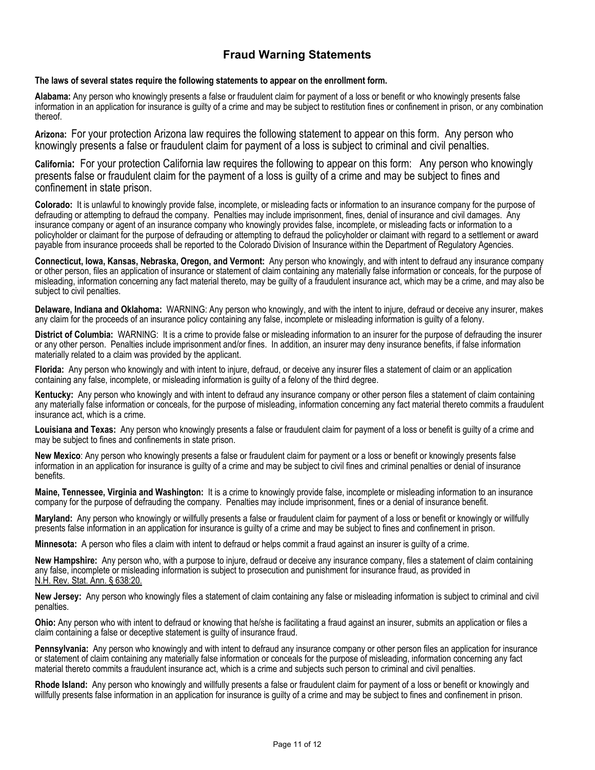## **Fraud Warning Statements**

#### **The laws of several states require the following statements to appear on the enrollment form.**

**Alabama:** Any person who knowingly presents a false or fraudulent claim for payment of a loss or benefit or who knowingly presents false information in an application for insurance is guilty of a crime and may be subject to restitution fines or confinement in prison, or any combination thereof.

**Arizona:** For your protection Arizona law requires the following statement to appear on this form. Any person who knowingly presents a false or fraudulent claim for payment of a loss is subject to criminal and civil penalties.

**California:** For your protection California law requires the following to appear on this form: Any person who knowingly presents false or fraudulent claim for the payment of a loss is guilty of a crime and may be subject to fines and confinement in state prison.

**Colorado:** It is unlawful to knowingly provide false, incomplete, or misleading facts or information to an insurance company for the purpose of defrauding or attempting to defraud the company. Penalties may include imprisonment, fines, denial of insurance and civil damages. Any insurance company or agent of an insurance company who knowingly provides false, incomplete, or misleading facts or information to a policyholder or claimant for the purpose of defrauding or attempting to defraud the policyholder or claimant with regard to a settlement or award payable from insurance proceeds shall be reported to the Colorado Division of Insurance within the Department of Regulatory Agencies.

**Connecticut, Iowa, Kansas, Nebraska, Oregon, and Vermont:** Any person who knowingly, and with intent to defraud any insurance company or other person, files an application of insurance or statement of claim containing any materially false information or conceals, for the purpose of misleading, information concerning any fact material thereto, may be guilty of a fraudulent insurance act, which may be a crime, and may also be subject to civil penalties.

**Delaware, Indiana and Oklahoma:** WARNING: Any person who knowingly, and with the intent to injure, defraud or deceive any insurer, makes any claim for the proceeds of an insurance policy containing any false, incomplete or misleading information is guilty of a felony.

**District of Columbia:** WARNING: It is a crime to provide false or misleading information to an insurer for the purpose of defrauding the insurer or any other person. Penalties include imprisonment and/or fines. In addition, an insurer may deny insurance benefits, if false information materially related to a claim was provided by the applicant.

**Florida:** Any person who knowingly and with intent to injure, defraud, or deceive any insurer files a statement of claim or an application containing any false, incomplete, or misleading information is guilty of a felony of the third degree.

**Kentucky:** Any person who knowingly and with intent to defraud any insurance company or other person files a statement of claim containing any materially false information or conceals, for the purpose of misleading, information concerning any fact material thereto commits a fraudulent insurance act, which is a crime.

**Louisiana and Texas:** Any person who knowingly presents a false or fraudulent claim for payment of a loss or benefit is guilty of a crime and may be subject to fines and confinements in state prison.

**New Mexico**: Any person who knowingly presents a false or fraudulent claim for payment or a loss or benefit or knowingly presents false information in an application for insurance is guilty of a crime and may be subject to civil fines and criminal penalties or denial of insurance benefits.

**Maine, Tennessee, Virginia and Washington:** It is a crime to knowingly provide false, incomplete or misleading information to an insurance company for the purpose of defrauding the company. Penalties may include imprisonment, fines or a denial of insurance benefit.

**Maryland:** Any person who knowingly or willfully presents a false or fraudulent claim for payment of a loss or benefit or knowingly or willfully presents false information in an application for insurance is guilty of a crime and may be subject to fines and confinement in prison.

**Minnesota:** A person who files a claim with intent to defraud or helps commit a fraud against an insurer is guilty of a crime.

**New Hampshire:** Any person who, with a purpose to injure, defraud or deceive any insurance company, files a statement of claim containing any false, incomplete or misleading information is subject to prosecution and punishment for insurance fraud, as provided in N.H. Rev. Stat. Ann. § 638:20.

**New Jersey:** Any person who knowingly files a statement of claim containing any false or misleading information is subject to criminal and civil penalties.

**Ohio:** Any person who with intent to defraud or knowing that he/she is facilitating a fraud against an insurer, submits an application or files a claim containing a false or deceptive statement is guilty of insurance fraud.

**Pennsylvania:** Any person who knowingly and with intent to defraud any insurance company or other person files an application for insurance or statement of claim containing any materially false information or conceals for the purpose of misleading, information concerning any fact material thereto commits a fraudulent insurance act, which is a crime and subjects such person to criminal and civil penalties.

**Rhode Island:** Any person who knowingly and willfully presents a false or fraudulent claim for payment of a loss or benefit or knowingly and willfully presents false information in an application for insurance is guilty of a crime and may be subject to fines and confinement in prison.